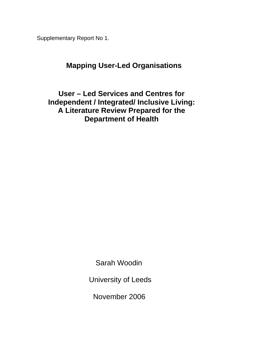Supplementary Report No 1.

# **Mapping User-Led Organisations**

**User – Led Services and Centres for Independent / Integrated/ Inclusive Living: A Literature Review Prepared for the Department of Health** 

Sarah Woodin

University of Leeds

November 2006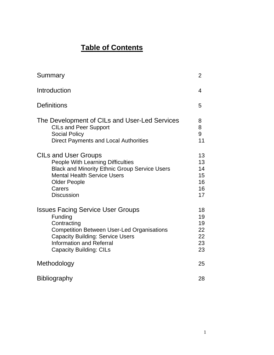# **Table of Contents**

| Summary                                                                                                                                                                                                                                 | 2                                      |
|-----------------------------------------------------------------------------------------------------------------------------------------------------------------------------------------------------------------------------------------|----------------------------------------|
| Introduction                                                                                                                                                                                                                            | 4                                      |
| <b>Definitions</b>                                                                                                                                                                                                                      | 5                                      |
| The Development of CILs and User-Led Services<br><b>CILs and Peer Support</b><br><b>Social Policy</b><br><b>Direct Payments and Local Authorities</b>                                                                                   | 8<br>8<br>9<br>11                      |
| <b>CILs and User Groups</b><br><b>People With Learning Difficulties</b><br><b>Black and Minority Ethnic Group Service Users</b><br><b>Mental Health Service Users</b><br><b>Older People</b><br>Carers<br><b>Discussion</b>             | 13<br>13<br>14<br>15<br>16<br>16<br>17 |
| <b>Issues Facing Service User Groups</b><br>Funding<br>Contracting<br><b>Competition Between User-Led Organisations</b><br><b>Capacity Building: Service Users</b><br><b>Information and Referral</b><br><b>Capacity Building: CILs</b> | 18<br>19<br>19<br>22<br>22<br>23<br>23 |
| Methodology                                                                                                                                                                                                                             | 25                                     |
| <b>Bibliography</b>                                                                                                                                                                                                                     | 28                                     |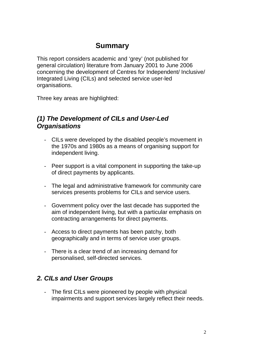# **Summary**

This report considers academic and 'grey' (not published for general circulation) literature from January 2001 to June 2006 concerning the development of Centres for Independent/ Inclusive/ Integrated Living (CILs) and selected service user-led organisations.

Three key areas are highlighted:

## *(1) The Development of CILs and User-Led Organisations*

- CILs were developed by the disabled people's movement in the 1970s and 1980s as a means of organising support for independent living.
- Peer support is a vital component in supporting the take-up of direct payments by applicants.
- The legal and administrative framework for community care services presents problems for CILs and service users.
- Government policy over the last decade has supported the aim of independent living, but with a particular emphasis on contracting arrangements for direct payments.
- Access to direct payments has been patchy, both geographically and in terms of service user groups.
- There is a clear trend of an increasing demand for personalised, self-directed services.

## *2. CILs and User Groups*

- The first CILs were pioneered by people with physical impairments and support services largely reflect their needs.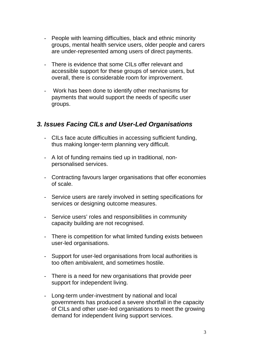- People with learning difficulties, black and ethnic minority groups, mental health service users, older people and carers are under-represented among users of direct payments.
- There is evidence that some CILs offer relevant and accessible support for these groups of service users, but overall, there is considerable room for improvement.
- Work has been done to identify other mechanisms for payments that would support the needs of specific user groups.

## *3. Issues Facing CILs and User-Led Organisations*

- CILs face acute difficulties in accessing sufficient funding, thus making longer-term planning very difficult.
- A lot of funding remains tied up in traditional, nonpersonalised services.
- Contracting favours larger organisations that offer economies of scale.
- Service users are rarely involved in setting specifications for services or designing outcome measures.
- Service users' roles and responsibilities in community capacity building are not recognised.
- There is competition for what limited funding exists between user-led organisations.
- Support for user-led organisations from local authorities is too often ambivalent, and sometimes hostile.
- There is a need for new organisations that provide peer support for independent living.
- Long-term under-investment by national and local governments has produced a severe shortfall in the capacity of CILs and other user-led organisations to meet the growing demand for independent living support services.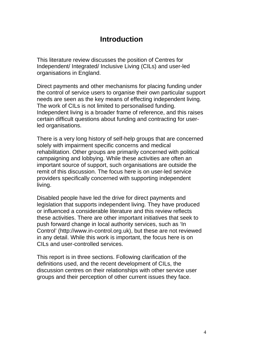## **Introduction**

This literature review discusses the position of Centres for Independent/ Integrated/ Inclusive Living (CILs) and user-led organisations in England.

Direct payments and other mechanisms for placing funding under the control of service users to organise their own particular support needs are seen as the key means of effecting independent living. The work of CILs is not limited to personalised funding. Independent living is a broader frame of reference, and this raises certain difficult questions about funding and contracting for userled organisations.

There is a very long history of self-help groups that are concerned solely with impairment specific concerns and medical rehabilitation. Other groups are primarily concerned with political campaigning and lobbying. While these activities are often an important source of support, such organisations are outside the remit of this discussion. The focus here is on user-led service providers specifically concerned with supporting independent living.

Disabled people have led the drive for direct payments and legislation that supports independent living. They have produced or influenced a considerable literature and this review reflects these activities. There are other important initiatives that seek to push forward change in local authority services, such as 'In Control' (http://www.in-control.org.uk), but these are not reviewed in any detail. While this work is important, the focus here is on CILs and user-controlled services.

This report is in three sections. Following clarification of the definitions used, and the recent development of CILs, the discussion centres on their relationships with other service user groups and their perception of other current issues they face.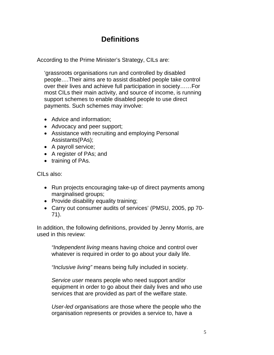# **Definitions**

According to the Prime Minister's Strategy, CILs are:

'grassroots organisations run and controlled by disabled people….Their aims are to assist disabled people take control over their lives and achieve full participation in society……For most CILs their main activity, and source of income, is running support schemes to enable disabled people to use direct payments. Such schemes may involve:

- Advice and information:
- Advocacy and peer support;
- Assistance with recruiting and employing Personal Assistants(PAs);
- A payroll service;
- A register of PAs; and
- training of PAs.

CILs also:

- Run projects encouraging take-up of direct payments among marginalised groups;
- Provide disability equality training;
- Carry out consumer audits of services' (PMSU, 2005, pp 70- 71).

In addition, the following definitions, provided by Jenny Morris, are used in this review:

 *"Independent living* means having choice and control over whatever is required in order to go about your daily life.

 *"Inclusive living"* means being fully included in society.

 *Service user* means people who need support and/or equipment in order to go about their daily lives and who use services that are provided as part of the welfare state.

 *User-led organisations* are those where the people who the organisation represents or provides a service to, have a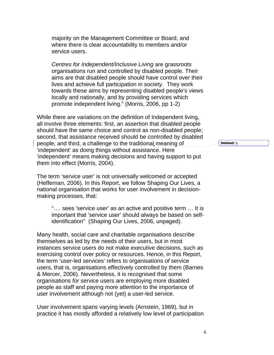majority on the Management Committee or Board, and where there is clear accountability to members and/or service users.

 *Centres for Independent/Inclusive Living* are grassroots organisations run and controlled by disabled people. Their aims are that disabled people should have control over their lives and achieve full participation in society. They work towards these aims by representing disabled people's views locally and nationally, and by providing services which promote independent living." (Morris, 2006, pp 1-2)

While there are variations on the definition of Independent living, all involve three elements: first, an assertion that disabled people should have the same choice and control as non-disabled people; second, that assistance received should be controlled by disabled people; and third, a challenge to the traditional meaning of 'independent' as doing things without assistance. Here 'independent' means making decisions and having support to put them into effect (Morris, 2004).

The term 'service user' is not universally welcomed or accepted (Heffernan, 2006). In this Report, we follow Shaping Our Lives, a national organisation that works for user involvement in decisionmaking processes, that:

"…. sees 'service user' as an active and positive term … It is important that 'service user' should always be based on selfidentification" (Shaping Our Lives, 2006, unpaged).

Many health, social care and charitable organisations describe themselves as led by the needs of their users, but in most instances service users do not make executive decisions, such as exercising control over policy or resources. Hence, in this Report, the term 'user-led services' refers to organisations *of* service users, that is, organisations effectively controlled by them (Barnes & Mercer, 2006). Nevertheless, it is recognised that some organisations *for* service users are employing more disabled people as staff and paying more attention to the importance of user involvement although not (yet) a user-led service.

User involvement spans varying levels (Arnstein, 1969), but in practice it has mostly afforded a relatively low level of participation **Deleted:** ly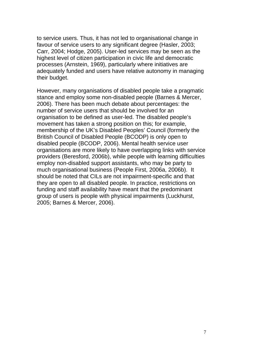to service users. Thus, it has not led to organisational change in favour of service users to any significant degree (Hasler, 2003; Carr, 2004; Hodge, 2005). User-led services may be seen as the highest level of citizen participation in civic life and democratic processes (Arnstein, 1969), particularly where initiatives are adequately funded and users have relative autonomy in managing their budget.

However, many organisations of disabled people take a pragmatic stance and employ some non-disabled people (Barnes & Mercer, 2006). There has been much debate about percentages: the number of service users that should be involved for an organisation to be defined as user-led. The disabled people's movement has taken a strong position on this; for example, membership of the UK's Disabled Peoples' Council (formerly the British Council of Disabled People (BCODP) is only open to disabled people (BCODP, 2006). Mental health service user organisations are more likely to have overlapping links with service providers (Beresford, 2006b), while people with learning difficulties employ non-disabled support assistants, who may be party to much organisational business (People First, 2006a, 2006b). It should be noted that CILs are not impairment-specific and that they are open to all disabled people. In practice, restrictions on funding and staff availability have meant that the predominant group of users is people with physical impairments (Luckhurst, 2005; Barnes & Mercer, 2006).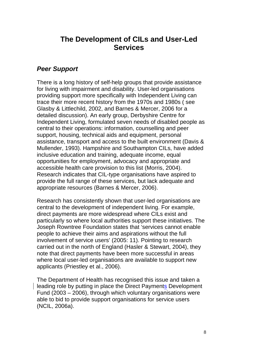## **The Development of CILs and User-Led Services**

## *Peer Support*

There is a long history of self-help groups that provide assistance for living with impairment and disability. User-led organisations providing support more specifically with Independent Living can trace their more recent history from the 1970s and 1980s ( see Glasby & Littlechild, 2002, and Barnes & Mercer, 2006 for a detailed discussion). An early group, Derbyshire Centre for Independent Living, formulated seven needs of disabled people as central to their operations: information, counselling and peer support, housing, technical aids and equipment, personal assistance, transport and access to the built environment (Davis & Mullender, 1993). Hampshire and Southampton CILs, have added inclusive education and training, adequate income, equal opportunities for employment, advocacy and appropriate and accessible health care provision to this list (Morris, 2004). Research indicates that CIL-type organisations have aspired to provide the full range of these services, but lack adequate and appropriate resources (Barnes & Mercer, 2006).

Research has consistently shown that user-led organisations are central to the development of independent living. For example, direct payments are more widespread where CILs exist and particularly so where local authorities support these initiatives. The Joseph Rowntree Foundation states that 'services cannot enable people to achieve their aims and aspirations without the full involvement of service users' (2005: 11). Pointing to research carried out in the north of England (Hasler & Stewart, 2004), they note that direct payments have been more successful in areas where local user-led organisations are available to support new applicants (Priestley et al., 2006).

The Department of Health has recognised this issue and taken a leading role by putting in place the Direct Payments Development Fund (2003 – 2006), through which voluntary organisations were able to bid to provide support organisations for service users (NCIL, 2006a).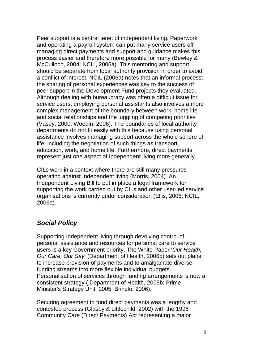Peer support is a central tenet of independent living. Paperwork and operating a payroll system can put many service users off managing direct payments and support and guidance makes this process easier and therefore more possible for many (Bewley & McCulloch, 2004; NCIL, 2006a). This mentoring and support should be separate from local authority provision in order to avoid a conflict of interest. NCIL (2006a) notes that an informal process: the sharing of personal experiences was key to the success of peer support in the Development Fund projects they evaluated. Although dealing with bureaucracy was often a difficult issue for service users, employing personal assistants also involves a more complex management of the boundary between work, home life and social relationships and the juggling of competing priorities (Vasey, 2000; Woodin, 2006). The boundaries of local authority departments do not fit easily with this because using personal assistance involves managing support across the whole sphere of life, including the negotiation of such things as transport, education, work, and home life. Furthermore, direct payments represent just one aspect of Independent living more generally.

CILs work in a context where there are still many pressures operating against Independent living (Morris, 2004). An Independent Living Bill to put in place a legal framework for supporting the work carried out by CILs and other user-led service organisations is currently under consideration (Ellis, 2006; NCIL, 2006a).

## *Social Policy*

Supporting Independent living through devolving control of personal assistance and resources for personal care to service users is a key Government priority. The White Paper '*Our Health, Our Care, Our Say*' (Department of Health, 2006b) sets out plans to increase provision of payments and to amalgamate diverse funding streams into more flexible individual budgets. Personalisation of services through funding arrangements is now a consistent strategy ( Department of Health, 2005b; Prime Minister's Strategy Unit, 2005; Brindle, 2006).

Securing agreement to fund direct payments was a lengthy and contested process (Glasby & Littlechild, 2002) with the 1996 Community Care (Direct Payments) Act representing a major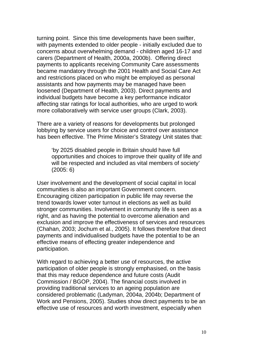turning point. Since this time developments have been swifter, with payments extended to older people - initially excluded due to concerns about overwhelming demand - children aged 16-17 and carers (Department of Health, 2000a, 2000b). Offering direct payments to applicants receiving Community Care assessments became mandatory through the 2001 Health and Social Care Act and restrictions placed on who might be employed as personal assistants and how payments may be managed have been loosened (Department of Health, 2003). Direct payments and individual budgets have become a key performance indicator affecting star ratings for local authorities, who are urged to work more collaboratively with service user groups (Clark, 2003).

There are a variety of reasons for developments but prolonged lobbying by service users for choice and control over assistance has been effective. The Prime Minister's Strategy Unit states that:

'by 2025 disabled people in Britain should have full opportunities and choices to improve their quality of life and will be respected and included as vital members of society' (2005: 6)

User involvement and the development of social capital in local communities is also an important Government concern. Encouraging citizen participation in public life may reverse the trend towards lower voter turnout in elections as well as build stronger communities. Involvement in community life is seen as a right, and as having the potential to overcome alienation and exclusion and improve the effectiveness of services and resources (Chahan, 2003; Jochum et al., 2005). It follows therefore that direct payments and individualised budgets have the potential to be an effective means of effecting greater independence and participation.

With regard to achieving a better use of resources, the active participation of older people is strongly emphasised, on the basis that this may reduce dependence and future costs (Audit Commission / BGOP, 2004). The financial costs involved in providing traditional services to an ageing population are considered problematic (Ladyman, 2004a, 2004b; Department of Work and Pensions, 2005). Studies show direct payments to be an effective use of resources and worth investment, especially when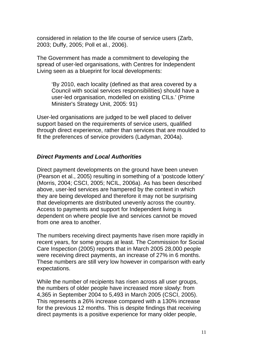considered in relation to the life course of service users (Zarb, 2003; Duffy, 2005; Poll et al., 2006).

The Government has made a commitment to developing the spread of user-led organisations, with Centres for Independent Living seen as a blueprint for local developments:

'By 2010, each locality (defined as that area covered by a Council with social services responsibilities) should have a user-led organisation, modelled on existing CILs.' (Prime Minister's Strategy Unit, 2005: 91)

User-led organisations are judged to be well placed to deliver support based on the requirements of service users, qualified through direct experience, rather than services that are moulded to fit the preferences of service providers (Ladyman, 2004a).

### *Direct Payments and Local Authorities*

Direct payment developments on the ground have been uneven (Pearson et al., 2005) resulting in something of a 'postcode lottery' (Morris, 2004; CSCI, 2005; NCIL, 2006a). As has been described above, user-led services are hampered by the context in which they are being developed and therefore it may not be surprising that developments are distributed unevenly across the country. Access to payments and support for Independent living is dependent on where people live and services cannot be moved from one area to another.

The numbers receiving direct payments have risen more rapidly in recent years, for some groups at least. The Commission for Social Care Inspection (2005) reports that in March 2005 28,000 people were receiving direct payments, an increase of 27% in 6 months. These numbers are still very low however in comparison with early expectations.

While the number of recipients has risen across all user groups, the numbers of older people have increased more slowly: from 4,365 in September 2004 to 5,493 in March 2005 (CSCI, 2005). This represents a 26% increase compared with a 130% increase for the previous 12 months. This is despite findings that receiving direct payments is a positive experience for many older people,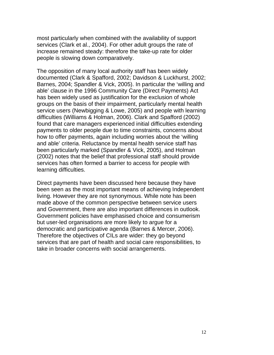most particularly when combined with the availability of support services (Clark et al., 2004). For other adult groups the rate of increase remained steady: therefore the take-up rate for older people is slowing down comparatively.

The opposition of many local authority staff has been widely documented (Clark & Spafford, 2002; Davidson & Luckhurst, 2002; Barnes, 2004; Spandler & Vick, 2005). In particular the 'willing and able' clause in the 1996 Community Care (Direct Payments) Act has been widely used as justification for the exclusion of whole groups on the basis of their impairment, particularly mental health service users (Newbigging & Lowe, 2005) and people with learning difficulties (Williams & Holman, 2006). Clark and Spafford (2002) found that care managers experienced initial difficulties extending payments to older people due to time constraints, concerns about how to offer payments, again including worries about the 'willing and able' criteria. Reluctance by mental health service staff has been particularly marked (Spandler & Vick, 2005), and Holman (2002) notes that the belief that professional staff should provide services has often formed a barrier to access for people with learning difficulties.

Direct payments have been discussed here because they have been seen as the most important means of achieving Independent living. However they are not synonymous. While note has been made above of the common perspective between service users and Government, there are also important differences in outlook. Government policies have emphasised choice and consumerism but user-led organisations are more likely to argue for a democratic and participative agenda (Barnes & Mercer, 2006). Therefore the objectives of CILs are wider: they go beyond services that are part of health and social care responsibilities, to take in broader concerns with social arrangements.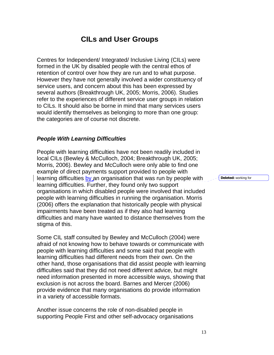## **CILs and User Groups**

Centres for Independent/ Integrated/ Inclusive Living (CILs) were formed in the UK by disabled people with the central ethos of retention of control over how they are run and to what purpose. However they have not generally involved a wider constituency of service users, and concern about this has been expressed by several authors (Breakthrough UK, 2005; Morris, 2006). Studies refer to the experiences of different service user groups in relation to CILs. It should also be borne in mind that many services users would identify themselves as belonging to more than one group: the categories are of course not discrete.

#### *People With Learning Difficulties*

People with learning difficulties have not been readily included in local CILs (Bewley & McCulloch, 2004; Breakthrough UK, 2005; Morris, 2006). Bewley and McCulloch were only able to find one example of direct payments support provided to people with learning difficulties by an organisation that was run by people with learning difficulties. Further, they found only two support organisations in which disabled people were involved that included people with learning difficulties in running the organisation. Morris (2006) offers the explanation that historically people with physical impairments have been treated as if they also had learning difficulties and many have wanted to distance themselves from the stigma of this.

Some CIL staff consulted by Bewley and McCulloch (2004) were afraid of not knowing how to behave towards or communicate with people with learning difficulties and some said that people with learning difficulties had different needs from their own. On the other hand, those organisations that did assist people with learning difficulties said that they did not need different advice, but might need information presented in more accessible ways, showing that exclusion is not across the board. Barnes and Mercer (2006) provide evidence that many organisations do provide information in a variety of accessible formats.

Another issue concerns the role of non-disabled people in supporting People First and other self-advocacy organisations **Deleted:** working for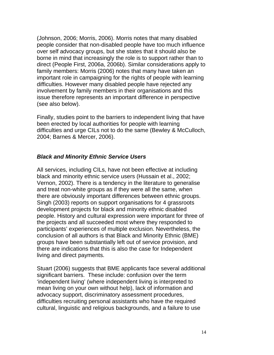(Johnson, 2006; Morris, 2006). Morris notes that many disabled people consider that non-disabled people have too much influence over self advocacy groups, but she states that it should also be borne in mind that increasingly the role is to support rather than to direct (People First, 2006a, 2006b). Similar considerations apply to family members: Morris (2006) notes that many have taken an important role in campaigning for the rights of people with learning difficulties. However many disabled people have rejected any involvement by family members in their organisations and this issue therefore represents an important difference in perspective (see also below).

Finally, studies point to the barriers to independent living that have been erected by local authorities for people with learning difficulties and urge CILs not to do the same (Bewley & McCulloch, 2004; Barnes & Mercer, 2006).

#### *Black and Minority Ethnic Service Users*

All services, including CILs, have not been effective at including black and minority ethnic service users (Hussain et al., 2002; Vernon, 2002). There is a tendency in the literature to generalise and treat non-white groups as if they were all the same, when there are obviously important differences between ethnic groups. Singh (2003) reports on support organisations for 4 grassroots development projects for black and minority ethnic disabled people. History and cultural expression were important for three of the projects and all succeeded most where they responded to participants' experiences of multiple exclusion. Nevertheless, the conclusion of all authors is that Black and Minority Ethnic (BME) groups have been substantially left out of service provision, and there are indications that this is also the case for Independent living and direct payments.

Stuart (2006) suggests that BME applicants face several additional significant barriers. These include: confusion over the term 'independent living' (where independent living is interpreted to mean living on your own without help), lack of information and advocacy support, discriminatory assessment procedures, difficulties recruiting personal assistants who have the required cultural, linguistic and religious backgrounds, and a failure to use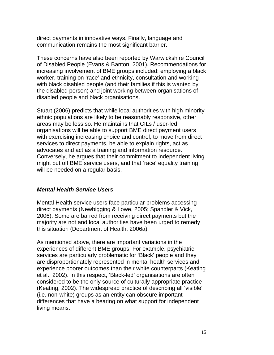direct payments in innovative ways. Finally, language and communication remains the most significant barrier.

These concerns have also been reported by Warwickshire Council of Disabled People (Evans & Banton, 2001). Recommendations for increasing involvement of BME groups included: employing a black worker, training on 'race' and ethnicity, consultation and working with black disabled people (and their families if this is wanted by the disabled person) and joint working between organisations of disabled people and black organisations.

Stuart (2006) predicts that while local authorities with high minority ethnic populations are likely to be reasonably responsive, other areas may be less so. He maintains that CILs / user-led organisations will be able to support BME direct payment users with exercising increasing choice and control, to move from direct services to direct payments, be able to explain rights, act as advocates and act as a training and information resource. Conversely, he argues that their commitment to independent living might put off BME service users, and that 'race' equality training will be needed on a regular basis.

### *Mental Health Service Users*

Mental Health service users face particular problems accessing direct payments (Newbigging & Lowe, 2005; Spandler & Vick, 2006). Some are barred from receiving direct payments but the majority are not and local authorities have been urged to remedy this situation (Department of Health, 2006a).

As mentioned above, there are important variations in the experiences of different BME groups. For example, psychiatric services are particularly problematic for 'Black' people and they are disproportionately represented in mental health services and experience poorer outcomes than their white counterparts (Keating et al., 2002). In this respect, 'Black-led' organisations are often considered to be the only source of culturally appropriate practice (Keating, 2002). The widespread practice of describing all 'visible' (i.e. non-white) groups as an entity can obscure important differences that have a bearing on what support for independent living means.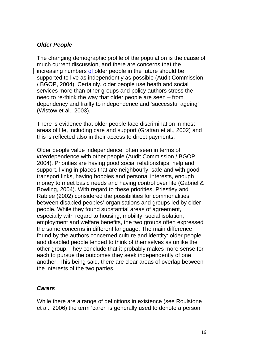#### *Older People*

The changing demographic profile of the population is the cause of much current discussion, and there are concerns that the increasing numbers of older people in the future should be supported to live as independently as possible (Audit Commission / BGOP, 2004). Certainly, older people use heath and social services more than other groups and policy authors stress the need to re-think the way that older people are seen – from dependency and frailty to independence and 'successful ageing' (Wistow et al., 2003).

There is evidence that older people face discrimination in most areas of life, including care and support (Grattan et al., 2002) and this is reflected also in their access to direct payments.

Older people value independence, often seen in terms of *inter*dependence with other people (Audit Commission / BGOP, 2004). Priorities are having good social relationships, help and support, living in places that are neighbourly, safe and with good transport links, having hobbies and personal interests, enough money to meet basic needs and having control over life (Gabriel & Bowling, 2004). With regard to these priorities, Priestley and Rabiee (2002) considered the possibilities for commonalities between disabled peoples' organisations and groups led by older people. While they found substantial areas of agreement, especially with regard to housing, mobility, social isolation, employment and welfare benefits, the two groups often expressed the same concerns in different language. The main difference found by the authors concerned culture and identity: older people and disabled people tended to think of themselves as unlike the other group. They conclude that it probably makes more sense for each to pursue the outcomes they seek independently of one another. This being said, there are clear areas of overlap between the interests of the two parties.

#### *Carers*

While there are a range of definitions in existence (see Roulstone et al., 2006) the term 'carer' is generally used to denote a person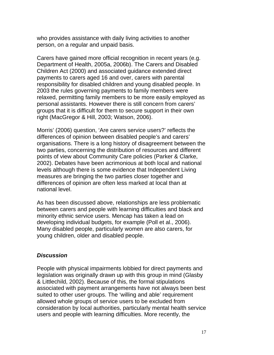who provides assistance with daily living activities to another person, on a regular and unpaid basis.

Carers have gained more official recognition in recent years (e.g. Department of Health, 2005a, 2006b). The Carers and Disabled Children Act (2000) and associated guidance extended direct payments to carers aged 16 and over, carers with parental responsibility for disabled children and young disabled people. In 2003 the rules governing payments to family members were relaxed, permitting family members to be more easily employed as personal assistants. However there is still concern from carers' groups that it is difficult for them to secure support in their own right (MacGregor & Hill, 2003; Watson, 2006).

Morris' (2006) question, 'Are carers service users?' reflects the differences of opinion between disabled people's and carers' organisations. There is a long history of disagreement between the two parties, concerning the distribution of resources and different points of view about Community Care policies (Parker & Clarke, 2002). Debates have been acrimonious at both local and national levels although there is some evidence that Independent Living measures are bringing the two parties closer together and differences of opinion are often less marked at local than at national level.

As has been discussed above, relationships are less problematic between carers and people with learning difficulties and black and minority ethnic service users. Mencap has taken a lead on developing individual budgets, for example (Poll et al., 2006). Many disabled people, particularly women are also carers, for young children, older and disabled people.

### *Discussion*

People with physical impairments lobbied for direct payments and legislation was originally drawn up with this group in mind (Glasby & Littlechild, 2002). Because of this, the formal stipulations associated with payment arrangements have not always been best suited to other user groups. The 'willing and able' requirement allowed whole groups of service users to be excluded from consideration by local authorities, particularly mental health service users and people with learning difficulties. More recently, the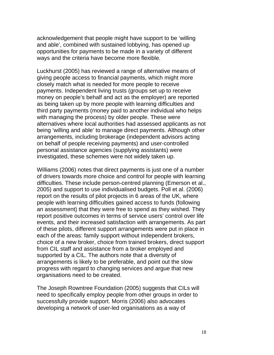acknowledgement that people might have support to be 'willing and able', combined with sustained lobbying, has opened up opportunities for payments to be made in a variety of different ways and the criteria have become more flexible.

Luckhurst (2005) has reviewed a range of alternative means of giving people access to financial payments, which might more closely match what is needed for more people to receive payments. Independent living trusts (groups set up to receive money on people's behalf and act as the employer) are reported as being taken up by more people with learning difficulties and third party payments (money paid to another individual who helps with managing the process) by older people. These were alternatives where local authorities had assessed applicants as not being 'willing and able' to manage direct payments. Although other arrangements, including brokerage (independent advisors acting on behalf of people receiving payments) and user-controlled personal assistance agencies (supplying assistants) were investigated, these schemes were not widely taken up.

Williams (2006) notes that direct payments is just one of a number of drivers towards more choice and control for people with learning difficulties. These include person-centred planning (Emerson et al., 2005) and support to use individualised budgets. Poll et al. (2006) report on the results of pilot projects in 6 areas of the UK, where people with learning difficulties gained access to funds (following an assessment) that they were free to spend as they wished. They report positive outcomes in terms of service users' control over life events, and their increased satisfaction with arrangements. As part of these pilots, different support arrangements were put in place in each of the areas: family support without independent brokers, choice of a new broker, choice from trained brokers, direct support from CIL staff and assistance from a broker employed and supported by a CIL. The authors note that a diversity of arrangements is likely to be preferable, and point out the slow progress with regard to changing services and argue that new organisations need to be created.

The Joseph Rowntree Foundation (2005) suggests that CILs will need to specifically employ people from other groups in order to successfully provide support. Morris (2006) also advocates developing a network of user-led organisations as a way of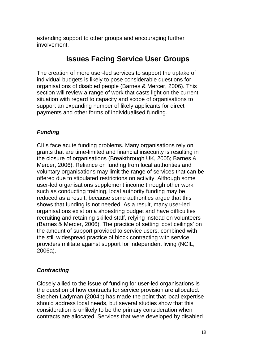extending support to other groups and encouraging further involvement.

## **Issues Facing Service User Groups**

The creation of more user-led services to support the uptake of individual budgets is likely to pose considerable questions for organisations of disabled people (Barnes & Mercer, 2006). This section will review a range of work that casts light on the current situation with regard to capacity and scope of organisations to support an expanding number of likely applicants for direct payments and other forms of individualised funding.

## *Funding*

CILs face acute funding problems. Many organisations rely on grants that are time-limited and financial insecurity is resulting in the closure of organisations (Breakthrough UK, 2005; Barnes & Mercer, 2006). Reliance on funding from local authorities and voluntary organisations may limit the range of services that can be offered due to stipulated restrictions on activity. Although some user-led organisations supplement income through other work such as conducting training, local authority funding may be reduced as a result, because some authorities argue that this shows that funding is not needed. As a result, many user-led organisations exist on a shoestring budget and have difficulties recruiting and retaining skilled staff, relying instead on volunteers (Barnes & Mercer, 2006). The practice of setting 'cost ceilings' on the amount of support provided to service users, combined with the still widespread practice of block contracting with service providers militate against support for independent living (NCIL, 2006a).

## *Contracting*

Closely allied to the issue of funding for user-led organisations is the question of how contracts for service provision are allocated. Stephen Ladyman (2004b) has made the point that local expertise should address local needs, but several studies show that this consideration is unlikely to be the primary consideration when contracts are allocated. Services that were developed by disabled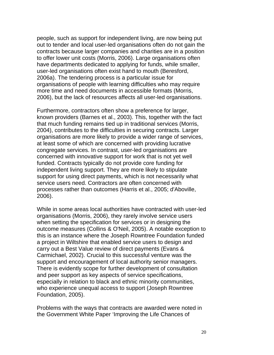people, such as support for independent living, are now being put out to tender and local user-led organisations often do not gain the contracts because larger companies and charities are in a position to offer lower unit costs (Morris, 2006). Large organisations often have departments dedicated to applying for funds, while smaller, user-led organisations often exist hand to mouth (Beresford, 2006a). The tendering process is a particular issue for organisations of people with learning difficulties who may require more time and need documents in accessible formats (Morris, 2006), but the lack of resources affects all user-led organisations.

Furthermore, contractors often show a preference for larger, known providers (Barnes et al., 2003). This, together with the fact that much funding remains tied up in traditional services (Morris, 2004), contributes to the difficulties in securing contracts. Larger organisations are more likely to provide a wider range of services, at least some of which are concerned with providing lucrative congregate services. In contrast, user-led organisations are concerned with innovative support for work that is not yet well funded. Contracts typically do not provide core funding for independent living support. They are more likely to stipulate support for using direct payments, which is not necessarily what service users need. Contractors are often concerned with processes rather than outcomes (Harris et al., 2005; d'Aboville, 2006).

While in some areas local authorities have contracted with user-led organisations (Morris, 2006), they rarely involve service users when setting the specification for services or in designing the outcome measures (Collins & O'Neil, 2005). A notable exception to this is an instance where the Joseph Rowntree Foundation funded a project in Wiltshire that enabled service users to design and carry out a Best Value review of direct payments (Evans & Carmichael, 2002). Crucial to this successful venture was the support and encouragement of local authority senior managers. There is evidently scope for further development of consultation and peer support as key aspects of service specifications, especially in relation to black and ethnic minority communities, who experience unequal access to support (Joseph Rowntree Foundation, 2005).

Problems with the ways that contracts are awarded were noted in the Government White Paper 'Improving the Life Chances of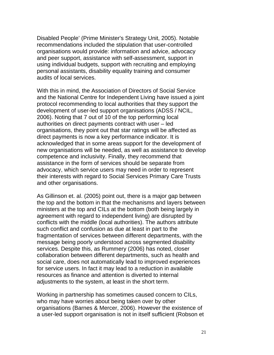Disabled People' (Prime Minister's Strategy Unit, 2005). Notable recommendations included the stipulation that user-controlled organisations would provide: information and advice, advocacy and peer support, assistance with self-assessment, support in using individual budgets, support with recruiting and employing personal assistants, disability equality training and consumer audits of local services.

With this in mind, the Association of Directors of Social Service and the National Centre for Independent Living have issued a joint protocol recommending to local authorities that they support the development of user-led support organisations (ADSS / NCIL, 2006). Noting that 7 out of 10 of the top performing local authorities on direct payments contract with user – led organisations, they point out that star ratings will be affected as direct payments is now a key performance indicator. It is acknowledged that in some areas support for the development of new organisations will be needed, as well as assistance to develop competence and inclusivity. Finally, they recommend that assistance in the form of services should be separate from advocacy, which service users may need in order to represent their interests with regard to Social Services Primary Care Trusts and other organisations.

As Gillinson et. al. (2005) point out, there is a major gap between the top and the bottom in that the mechanisms and layers between ministers at the top and CILs at the bottom (both being largely in agreement with regard to independent living) are disrupted by conflicts with the middle (local authorities). The authors attribute such conflict and confusion as due at least in part to the fragmentation of services between different departments, with the message being poorly understood across segmented disability services. Despite this, as Rummery (2006) has noted, closer collaboration between different departments, such as health and social care, does not automatically lead to improved experiences for service users. In fact it may lead to a reduction in available resources as finance and attention is diverted to internal adjustments to the system, at least in the short term.

Working in partnership has sometimes caused concern to CILs, who may have worries about being taken over by other organisations (Barnes & Mercer, 2006). However the existence of a user-led support organisation is not in itself sufficient (Robson et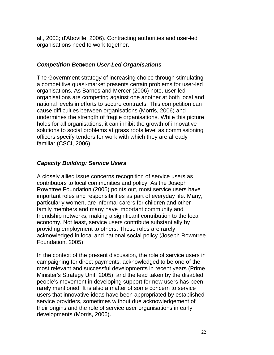al., 2003; d'Aboville, 2006). Contracting authorities and user-led organisations need to work together.

### *Competition Between User-Led Organisations*

The Government strategy of increasing choice through stimulating a competitive quasi-market presents certain problems for user-led organisations. As Barnes and Mercer (2006) note, user-led organisations are competing against one another at both local and national levels in efforts to secure contracts. This competition can cause difficulties between organisations (Morris, 2006) and undermines the strength of fragile organisations. While this picture holds for all organisations, it can inhibit the growth of innovative solutions to social problems at grass roots level as commissioning officers specify tenders for work with which they are already familiar (CSCI, 2006).

### *Capacity Building: Service Users*

A closely allied issue concerns recognition of service users as contributors to local communities and policy. As the Joseph Rowntree Foundation (2005) points out, most service users have important roles and responsibilities as part of everyday life. Many, particularly women, are informal carers for children and other family members and many have important community and friendship networks, making a significant contribution to the local economy. Not least, service users contribute substantially by providing employment to others. These roles are rarely acknowledged in local and national social policy (Joseph Rowntree Foundation, 2005).

In the context of the present discussion, the role of service users in campaigning for direct payments, acknowledged to be one of the most relevant and successful developments in recent years (Prime Minister's Strategy Unit, 2005), and the lead taken by the disabled people's movement in developing support for new users has been rarely mentioned. It is also a matter of some concern to service users that innovative ideas have been appropriated by established service providers, sometimes without due acknowledgement of their origins and the role of service user organisations in early developments (Morris, 2006).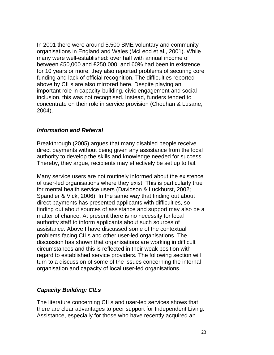In 2001 there were around 5,500 BME voluntary and community organisations in England and Wales (McLeod et al., 2001). While many were well-established: over half with annual income of between £50,000 and £250,000, and 60% had been in existence for 10 years or more, they also reported problems of securing core funding and lack of official recognition. The difficulties reported above by CILs are also mirrored here. Despite playing an important role in capacity-building, civic engagement and social inclusion, this was not recognised. Instead, funders tended to concentrate on their role in service provision (Chouhan & Lusane, 2004).

### *Information and Referral*

Breakthrough (2005) argues that many disabled people receive direct payments without being given any assistance from the local authority to develop the skills and knowledge needed for success. Thereby, they argue, recipients may effectively be set up to fail.

Many service users are not routinely informed about the existence of user-led organisations where they exist. This is particularly true for mental health service users (Davidson & Luckhurst, 2002; Spandler & Vick, 2006). In the same way that finding out about direct payments has presented applicants with difficulties, so finding out about sources of assistance and support may also be a matter of chance. At present there is no necessity for local authority staff to inform applicants about such sources of assistance. Above I have discussed some of the contextual problems facing CILs and other user-led organisations. The discussion has shown that organisations are working in difficult circumstances and this is reflected in their weak position with regard to established service providers. The following section will turn to a discussion of some of the issues concerning the internal organisation and capacity of local user-led organisations.

## *Capacity Building: CILs*

The literature concerning CILs and user-led services shows that there are clear advantages to peer support for Independent Living. Assistance, especially for those who have recently acquired an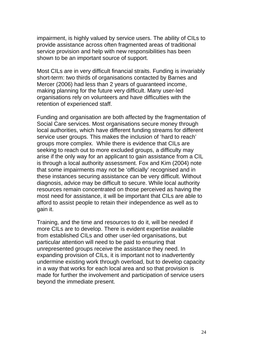impairment, is highly valued by service users. The ability of CILs to provide assistance across often fragmented areas of traditional service provision and help with new responsibilities has been shown to be an important source of support.

Most CILs are in very difficult financial straits. Funding is invariably short-term: two thirds of organisations contacted by Barnes and Mercer (2006) had less than 2 years of guaranteed income, making planning for the future very difficult. Many user-led organisations rely on volunteers and have difficulties with the retention of experienced staff.

Funding and organisation are both affected by the fragmentation of Social Care services. Most organisations secure money through local authorities, which have different funding streams for different service user groups. This makes the inclusion of 'hard to reach' groups more complex. While there is evidence that CILs are seeking to reach out to more excluded groups, a difficulty may arise if the only way for an applicant to gain assistance from a CIL is through a local authority assessment. Fox and Kim (2004) note that some impairments may not be 'officially' recognised and in these instances securing assistance can be very difficult. Without diagnosis, advice may be difficult to secure. While local authority resources remain concentrated on those perceived as having the most need for assistance, it will be important that CILs are able to afford to assist people to retain their independence as well as to gain it.

Training, and the time and resources to do it, will be needed if more CILs are to develop. There is evident expertise available from established CILs and other user-led organisations, but particular attention will need to be paid to ensuring that unrepresented groups receive the assistance they need. In expanding provision of CILs, it is important not to inadvertently undermine existing work through overload, but to develop capacity in a way that works for each local area and so that provision is made for further the involvement and participation of service users beyond the immediate present.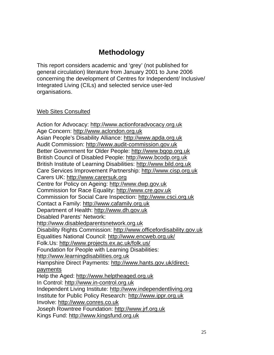# **Methodology**

This report considers academic and 'grey' (not published for general circulation) literature from January 2001 to June 2006 concerning the development of Centres for Independent/ Inclusive/ Integrated Living (CILs) and selected service user-led organisations.

### Web Sites Consulted

Action for Advocacy: http://www.actionforadvocacy.org.uk Age Concern: http://www.aclondon.org.uk Asian People's Disability Alliance: http://www.apda.org.uk Audit Commission: http://www.audit-commission.gov.uk Better Government for Older People: http://www.bgop.org.uk British Council of Disabled People: http://www.bcodp.org.uk British Institute of Learning Disabilities: http://www.bild.org.uk Care Services Improvement Partnership: http://www.cisp.org.uk Carers UK: http://www.carersuk.org Centre for Policy on Ageing: http://www.dwp.gov.uk Commission for Race Equality: http://www.cre.gov.uk Commission for Social Care Inspection: http://www.csci.org.uk Contact a Family: http://www.cafamily.org.uk Department of Health: http://www.dh.gov.uk Disabled Parents' Network: http://www.disabledparentsnetwork.org.uk Disability Rights Commission: http://www.officefordisability.gov.uk Equalities National Council: http://www.encweb.org.uk/ Folk.Us: http://www.projects.ex.ac.uk/folk.us/ Foundation for People with Learning Disabilities: http://www.learningdisabilities.org.uk Hampshire Direct Payments: http://www.hants.gov.uk/directpayments Help the Aged: http://www.helptheaged.org.uk In Control: http://www.in-control.org.uk Independent Living Institute: http://www.independentliving.org Institute for Public Policy Research: http://www.ippr.org.uk Involve: http://www.conres.co.uk Joseph Rowntree Foundation: http://www.jrf.org.uk Kings Fund: http://www.kingsfund.org.uk

25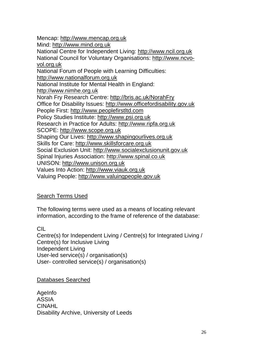Mencap: http://www.mencap.org.uk Mind: http://www.mind.org.uk National Centre for Independent Living: http://www.ncil.org.uk National Council for Voluntary Organisations: http://www.ncvovol.org.uk National Forum of People with Learning Difficulties: http://www.nationalforum.org.uk National Institute for Mental Health in England: http://www.nimhe.org.uk Norah Fry Research Centre: http://bris.ac.uk/NorahFry Office for Disability Issues: http://www.officefordisability.gov.uk People First: http://www.peoplefirstltd.com Policy Studies Institute: http://www.psi.org.uk Research in Practice for Adults: http://www.ripfa.org.uk SCOPE: http://www.scope.org.uk Shaping Our Lives: http://www.shapingourlives.org.uk Skills for Care: http://www.skillsforcare.org.uk Social Exclusion Unit: http://www.socialexclusionunit.gov.uk Spinal Injuries Association: http://www.spinal.co.uk UNISON: http://www.unison.org.uk Values Into Action: http://www.viauk.org.uk Valuing People: http://www.valuingpeople.gov.uk

## Search Terms Used

The following terms were used as a means of locating relevant information, according to the frame of reference of the database:

## CIL

Centre(s) for Independent Living / Centre(s) for Integrated Living / Centre(s) for Inclusive Living Independent Living User-led service(s) / organisation(s) User- controlled service(s) / organisation(s)

### Databases Searched

AgeInfo ASSIA CINAHL Disability Archive, University of Leeds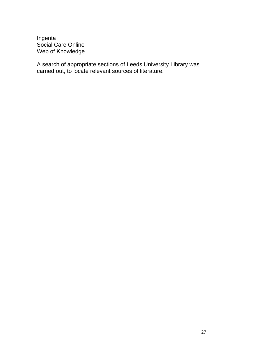Ingenta Social Care Online Web of Knowledge

A search of appropriate sections of Leeds University Library was carried out, to locate relevant sources of literature.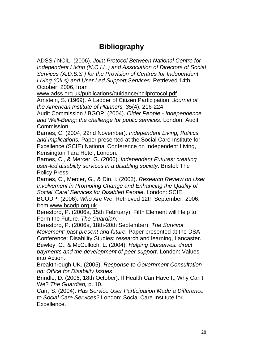# **Bibliography**

ADSS / NCIL. (2006). *Joint Protocol Between National Centre for Independent Living (N.C.I.L.) and Association of Directors of Social Services (A.D.S.S.) for the Provision of Centres for Independent Living (CILs) and User Led Support Services*. Retrieved 14th October, 2006, from

www.adss.org.uk/publications/guidance/ncilprotocol.pdf

Arnstein, S. (1969). A Ladder of Citizen Participation. *Journal of the American Institute of Planners, 35*(4), 216-224.

Audit Commission / BGOP. (2004). *Older People - Independence and Well-Being: the challenge for public services*. London: Audit Commission.

Barnes, C. (2004, 22nd November). *Independent Living, Politics and Implications.* Paper presented at the Social Care Institute for Excellence (SCIE) National Conference on Independent Living, Kensington Tara Hotel, London.

Barnes, C., & Mercer, G. (2006). *Independent Futures: creating user-led disability services in a disabling society*. Bristol: The Policy Press.

Barnes, C., Mercer, G., & Din, I. (2003). *Research Review on User Involvement in Promoting Change and Enhancing the Quality of Social 'Care' Services for Disabled People*. London: SCIE. BCODP. (2006). *Who Are We*. Retrieved 12th September, 2006, from www.bcodp.org.uk

Beresford, P. (2006a, 15th February). Fifth Element will Help to Form the Future*. The Guardian*.

Beresford, P. (2006a, 18th-20th September). *The Survivor Movement: past present and future.* Paper presented at the DSA Conference: Disability Studies: research and learning, Lancaster. Bewley, C., & McCulloch, L. (2004). *Helping Ourselves: direct payments and the development of peer support*. London: Values

into Action. Breakthrough UK. (2005). *Response to Government Consultation* 

*on: Office for Disability Issues* Brindle, D. (2006, 18th October). If Health Can Have It, Why Can't We? *The Guardian,* p. 10.

Carr, S. (2004). *Has Service User Participation Made a Difference to Social Care Services?* London: Social Care Institute for Excellence.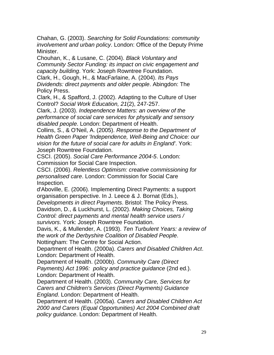Chahan, G. (2003). *Searching for Solid Foundations: community involvement and urban policy*. London: Office of the Deputy Prime Minister.

Chouhan, K., & Lusane, C. (2004). *Black Voluntary and Community Sector Funding: its impact on civic engagement and capacity building*. York: Joseph Rowntree Foundation.

Clark, H., Gough, H., & MacFarlaine, A. (2004). *Its Pays Dividends: direct payments and older people*. Abingdon: The Policy Press.

Clark, H., & Spafford, J. (2002). Adapting to the Culture of User Control? *Social Work Education, 21*(2), 247-257.

Clark, J. (2003). *Independence Matters: an overview of the performance of social care services for physically and sensory disabled people*. London: Department of Health.

Collins, S., & O'Neil, A. (2005). *Response to the Department of Health Green Paper 'Independence, Well-Being and Choice: our vision for the future of social care for adults in England'*. York: Joseph Rowntree Foundation.

CSCI. (2005). *Social Care Performance 2004-5*. London: Commission for Social Care Inspection.

CSCI. (2006). *Relentless Optimism: creative commissioning for personalised care*. London: Commission for Social Care Inspection.

d'Aboville, E. (2006). Implementing Direct Payments: a support organisation perspective. In J. Leece & J. Bornat (Eds.),

*Developments in direct Payments*. Bristol: The Policy Press.

Davidson, D., & Luckhurst, L. (2002). *Making Choices, Taking Control: direct payments and mental health service users / survivors*. York: Joseph Rowntree Foundation.

Davis, K., & Mullender, A. (1993). *Ten Turbulent Years: a review of the work of the Derbyshire Coalition of Disabled People*. Nottingham: The Centre for Social Action.

Department of Health. (2000a). *Carers and Disabled Children Act*. London: Department of Health.

Department of Health. (2000b). *Community Care (Direct Payments) Act 1996: policy and practice guidance* (2nd ed.). London: Department of Health.

Department of Health. (2003). *Community Care, Services for Carers and Children's Services (Direct Payments) Guidance England*. London: Department of Health.

Department of Health. (2005a). *Carers and Disabled Children Act 2000 and Carers (Equal Opportunities) Act 2004 Combined draft policy guidance*. London: Department of Health.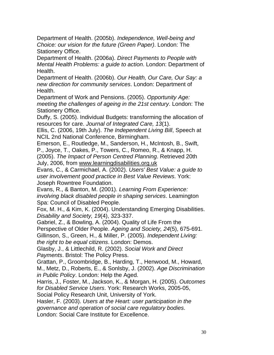Department of Health. (2005b). *Independence, Well-being and Choice: our vision for the future (Green Paper)*. London: The Stationery Office.

Department of Health. (2006a). *Direct Payments to People with Mental Health Problems: a guide to action*. London: Department of Health.

Department of Health. (2006b). *Our Health, Our Care, Our Say: a new direction for community services*. London: Department of Health.

Department of Work and Pensions. (2005). *Opportunity Age: meeting the challenges of ageing in the 21st century*. London: The Stationery Office.

Duffy, S. (2005). Individual Budgets: transforming the allocation of resources for care. *Journal of Integrated Care, 13*(1).

Ellis, C. (2006, 19th July). *The Independent Living Bill*, Speech at NCIL 2nd National Conference, Birmingham.

Emerson, E., Routledge, M., Sanderson, H., McIntosh, B., Swift, P., Joyce, T., Oakes, P., Towers, C., Romeo, R., & Knapp, H. (2005). *The Impact of Person Centred Planning*. Retrieved 20th

July, 2006, from www.learningdisabilities.org.uk

Evans, C., & Carmichael, A. (2002). *Users' Best Value: a guide to user involvement good practice in Best Value Reviews*. York: Joseph Rowntree Foundation.

Evans, R., & Banton, M. (2001). *Learning From Experience: involving black disabled people in shaping services*. Leamington Spa: Council of Disabled People.

Fox, M. H., & Kim, K. (2004). Understanding Emerging Disabilities. *Disability and Society, 19*(4), 323-337.

Gabriel, Z., & Bowling, A. (2004). Quality of Life From the

Perspective of Older People. *Ageing and Society, 24*(5), 675-691.

Gillinson, S., Green, H., & Miller, P. (2005). *Independent Living: the right to be equal citizens*. London: Demos.

Glasby, J., & Littlechild, R. (2002). *Social Work and Direct Payments*. Bristol: The Policy Press.

Grattan, P., Groombridge, B., Harding, T., Henwood, M., Howard, M., Metz, D., Roberts, E., & Sonlsby, J. (2002). *Age Discrimination in Public Policy*. London: Help the Aged.

Harris, J., Foster, M., Jackson, K., & Morgan, H. (2005). *Outcomes for Disabled Service Users*. York: Research Works, 2005-05,

Social Policy Research Unit, University of York.

Hasler, F. (2003). *Users at the Heart: user participation in the governance and operation of social care regulatory bodies*.

London: Social Care Institute for Excellence.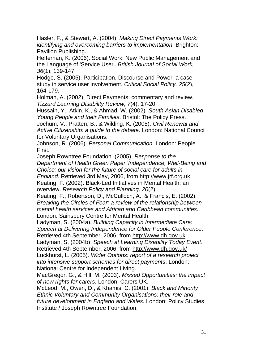Hasler, F., & Stewart, A. (2004). *Making Direct Payments Work: identifying and overcoming barriers to implementation*. Brighton: Pavilion Publishing.

Heffernan, K. (2006). Social Work, New Public Management and the Language of 'Service User'. *British Journal of Social Work, 36*(1), 139-147.

Hodge, S. (2005). Participation, Discourse and Power: a case study in service user involvement. *Critical Social Policy, 25*(2), 164-179.

Holman, A. (2002). Direct Payments: commentary and review. *Tizzard Learning Disability Review, 7*(4), 17-20.

Hussain, Y., Atkin, K., & Ahmad, W. (2002). *South Asian Disabled Young People and their Families*. Bristol: The Policy Press.

Jochum, V., Pratten, B., & Wilding, K. (2005). *Civil Renewal and Active Citizenship: a guide to the debate*. London: National Council for Voluntary Organisations.

Johnson, R. (2006). *Personal Communication*. London: People First.

Joseph Rowntree Foundation. (2005). *Response to the Department of Health Green Paper 'Independence, Well-Being and Choice: our vision for the future of social care for adults in England*. Retrieved 3rd May, 2006, from http://www.jrf.org.uk Keating, F. (2002). Black-Led Initiatives in Mental Health: an overview. *Research Policy and Planning, 20*(2).

Keating, F., Robertson, D., McCulloch, A., & Francis, E. (2002). *Breaking the Circles of Fear: a review of the relationship between mental health services and African and Caribbean communities*. London: Sainsbury Centre for Mental Health.

Ladyman, S. (2004a). *Building Capacity in Intermediate Care: Speech at Delivering Independence for Older People Conference*. Retrieved 4th September, 2006, from http://www.dh.gov.uk

Ladyman, S. (2004b). *Speech at Learning Disability Today Event*. Retrieved 4th September, 2006, from http://www.dh.gov.uk/

Luckhurst, L. (2005). *Wider Options: report of a research project into intensive support schemes for direct payments*. London: National Centre for Independent Living.

MacGregor, G., & Hill, M. (2003). *Missed Opportunities: the impact of new rights for carers*. London: Carers UK.

McLeod, M., Owen, D., & Khamis, C. (2001). *Black and Minority Ethnic Voluntary and Community Organisations: their role and future development in England and Wales*. London: Policy Studies Institute / Joseph Rowntree Foundation.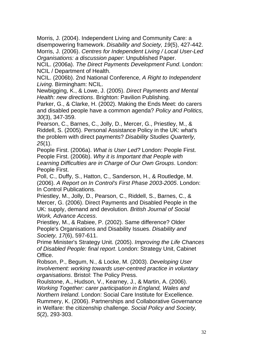Morris, J. (2004). Independent Living and Community Care: a disempowering framework. *Disability and Society, 19*(5), 427-442. Morris, J. (2006). *Centres for Independent Living / Local User-Led Organisations: a discussion paper*: Unpublished Paper.

NCIL. (2006a). *The Direct Payments Development Fund*. London: NCIL / Department of Health.

NCIL. (2006b). 2nd National Conference, *A Right to Independent Living*. Birmingham: NCIL.

Newbigging, K., & Lowe, J. (2005). *Direct Payments and Mental Health: new directions*. Brighton: Pavilion Publishing.

Parker, G., & Clarke, H. (2002). Making the Ends Meet: do carers and disabled people have a common agenda? *Policy and Politics, 30*(3), 347-359.

Pearson, C., Barnes, C., Jolly, D., Mercer, G., Priestley, M., & Riddell, S. (2005). Personal Assistance Policy in the UK: what's the problem with direct payments? *Disability Studies Quarterly, 25*(1).

People First. (2006a). *What is User Led?* London: People First. People First. (2006b). *Why it is Important that People with Learning Difficulties are in Charge of Our Own Groups*. London: People First.

Poll, C., Duffy, S., Hatton, C., Sanderson, H., & Routledge, M. (2006). *A Report on In Control's First Phase 2003-2005*. London: In Control Publications.

Priestley, M., Jolly, D., Pearson, C., Riddell, S., Barnes, C., & Mercer, G. (2006). Direct Payments and Disabled People in the UK: supply, demand and devolution. *British Journal of Social Work, Advance Access*.

Priestley, M., & Rabiee, P. (2002). Same difference? Older People's Organisations and Disability Issues. *Disability and Society, 17*(6), 597-611.

Prime Minister's Strategy Unit. (2005). *Improving the Life Chances of Disabled People: final report*. London: Strategy Unit, Cabinet Office.

Robson, P., Begum, N., & Locke, M. (2003). *Developing User Involvement: working towards user-centred practice in voluntary organisations*. Bristol: The Policy Press.

Roulstone, A., Hudson, V., Kearney, J., & Martin, A. (2006). *Working Together: carer participation in England, Wales and Northern Ireland*. London: Social Care Institute for Excellence. Rummery, K. (2006). Partnerships and Collaborative Governance in Welfare: the citizenship challenge. *Social Policy and Society, 5*(2), 293-303.